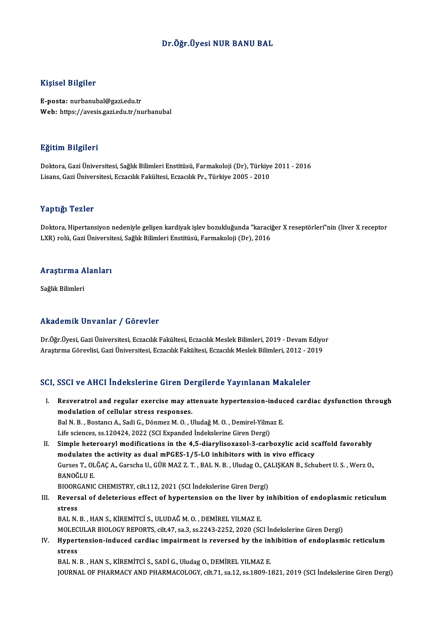## Dr.Öğr.Üyesi NUR BANU BAL

### Kişisel Bilgiler

E-posta: nurbanubal@gazi.edu.tr Web: https://avesis.gazi.edu.tr/nurbanubal

### Eğitim Bilgileri

**Eğitim Bilgileri**<br>Doktora, Gazi Üniversitesi, Sağlık Bilimleri Enstitüsü, Farmakoloji (Dr), Türkiye 2011 - 2016<br>Lisans *Cari Üniversitesi, Estas*ılık Fakültesi, Estasılık Pr. Türkiye 2005 - 2010 Lisanan Dargaroaa<br>Doktora, Gazi Üniversitesi, Sağlık Bilimleri Enstitüsü, Farmakoloji (Dr), Türkiye<br>Lisans, Gazi Üniversitesi, Eczacılık Fakültesi, Eczacılık Pr., Türkiye 2005 - 2010 Lisans, Gazi Üniversitesi, Eczacılık Fakültesi, Eczacılık Pr., Türkiye 2005 - 2010<br>Yaptığı Tezler

Yaptığı Tezler<br>Doktora, Hipertansiyon nedeniyle gelişen kardiyak işlev bozukluğunda "karaciğer X reseptörleri"nin (liver X receptor<br>UYP) relij Geri Üniversitesi Seğlık Bilimleri Enstitüsü, Fermakaleji (Dr) 2016 1 ap 13.<br>Doktora, Hipertansiyon nedeniyle gelişen kardiyak işlev bozukluğunda "karaci<sub>!</sub><br>LXR) rolü, Gazi Üniversitesi, Sağlık Bilimleri Enstitüsü, Farmakoloji (Dr), 2016

# LXK) rolu, Gazi Universit<br>Araştırma Alanları <mark>Araştırma A</mark><br>Sağlık Bilimleri

# Akademik Unvanlar / Görevler

Akademik Unvanlar / Görevler<br>Dr.Öğr.Üyesi, Gazi Üniversitesi, Eczacılık Fakültesi, Eczacılık Meslek Bilimleri, 2019 - Devam Ediyor<br>Arastırma Cörevlisi, Cari Üniversitesi, Ecracılık Fakültesi, Ecracılık Meslek Bilimleri, 20 Arastıcılı Sarvunua 7 dözevler<br>Dr.Öğr.Üyesi, Gazi Üniversitesi, Eczacılık Fakültesi, Eczacılık Meslek Bilimleri, 2019 - Devam Ediyo<br>Araştırma Görevlisi, Gazi Üniversitesi, Eczacılık Fakültesi, Eczacılık Meslek Bilimleri, 2 Araştırma Görevlisi, Gazi Üniversitesi, Eczacılık Fakültesi, Eczacılık Meslek Bilimleri, 2012 - 2019<br>SCI, SSCI ve AHCI İndekslerine Giren Dergilerde Yayınlanan Makaleler

CI, SSCI ve AHCI İndekslerine Giren Dergilerde Yayınlanan Makaleler<br>I. Resveratrol and regular exercise may attenuate hypertension-induced cardiac dysfunction through<br>modulation of cellular stress responses modulation of cellular stress responses.<br>
Resveratrol and regular exercise may at<br>
modulation of cellular stress responses. modulation of cellular stress responses.<br>Bal N. B. , Bostancı A., Sadi G., Dönmez M. O. , Uludağ M. O. , Demirel-Yilmaz E. modulation of cellular stress responses.<br>Bal N. B., Bostancı A., Sadi G., Dönmez M. O. , Uludağ M. O. , Demirel-Yilma<br>Life sciences, ss.120424, 2022 (SCI Expanded İndekslerine Giren Dergi)<br>Simple beterearyl modifications i

II. Simple heteroaryl modifications in the 4,5-diarylisoxazol-3-carboxylic acid scaffold favorably Life sciences, ss.120424, 2022 (SCI Expanded Indekslerine Giren Dergi)<br>Simple heteroaryl modifications in the 4,5-diarylisoxazol-3-carboxylic acid so<br>modulates the activity as dual mPGES-1/5-LO inhibitors with in vivo effi Gurses T., OLĞAÇ A., Garscha U., GÜR MAZ Z. T. , BAL N. B. , Uludag O., ÇALIŞKAN B., Schubert U. S. , Werz O.,<br>BANOĞLU E. modulates the activity as dual mPGES-1/5-LO inhibitors with in vivo efficacy Gurses T., OLĞAÇ A., Garscha U., GÜR MAZ Z. T. , BAL N. B. , Uludag O., ÇA<br>BANOĞLU E.<br>BIOORGANIC CHEMISTRY, cilt.112, 2021 (SCI İndekslerine Giren Dergi)<br>Peversel of deleterious effect of burentension on the liver by ji BANOĞLU E.<br>BIOORGANIC CHEMISTRY, cilt.112, 2021 (SCI İndekslerine Giren Dergi)<br>III. Reversal of deleterious effect of hypertension on the liver by inhibition of endoplasmic reticulum<br>

BIOOR<br>Revers<br>stress<br>PAL N Reversal of deleterious effect of hypertension on the liver by<br>stress<br>BAL N. B. , HAN S., KİREMİTCİ S., ULUDAĞ M. O. , DEMİREL YILMAZ E.<br>MOLECIJ AR RIQLOCY REPORTS. 6:11 4.7 .00 3. 00 3342 3253 2000 (SC stress<br>BAL N. B. , HAN S., KİREMİTCİ S., ULUDAĞ M. O. , DEMİREL YILMAZ E.<br>MOLECULAR BIOLOGY REPORTS, cilt.47, sa.3, ss.2243-2252, 2020 (SCI İndekslerine Giren Dergi)

BAL N. B. , HAN S., KİREMİTCİ S., ULUDAĞ M. O. , DEMİREL YILMAZ E.<br>MOLECULAR BIOLOGY REPORTS, cilt.47, sa.3, ss.2243-2252, 2020 (SCI İndekslerine Giren Dergi)<br>IV. Hypertension-induced cardiac impairment is reversed by MOLEC<br><mark>Hyper</mark>t<br>stress<br>PAL N Hypertension-induced cardiac impairment is reversed by the inl<br>stress<br>BAL N. B. , HAN S., KİREMİTCİ S., SADİ G., Uludag O., DEMİREL YILMAZ E.<br>JOUPMAL OE PHAPMACY AND PHAPMACOLOCY silt 71 ss 12 ss 1900 1.

stress<br>BAL N. B. , HAN S., KİREMİTCİ S., SADİ G., Uludag O., DEMİREL YILMAZ E.<br>JOURNAL OF PHARMACY AND PHARMACOLOGY, cilt.71, sa.12, ss.1809-1821, 2019 (SCI İndekslerine Giren Dergi)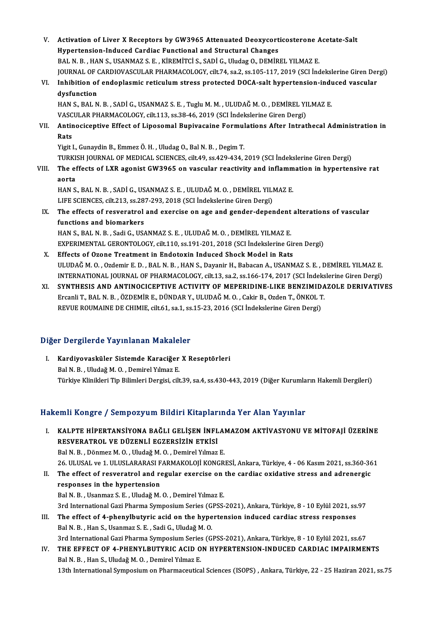- V. Activation of Liver X Receptors by GW3965 Attenuated Deoxycorticosterone Acetate-Salt Activation of Liver X Receptors by GW3965 Attenuated Deoxycort<br>Hypertension-Induced Cardiac Functional and Structural Changes<br>RALN B - HANS, USANMAZ S.E., KIREMITCLS, SADLC, Ulydez O. DEMIR Activation of Liver X Receptors by GW3965 Attenuated Deoxycorticosterone A<br>Hypertension-Induced Cardiac Functional and Structural Changes<br>BAL N. B. , HAN S., USANMAZ S. E. , KİREMİTCİ S., SADİ G., Uludag O., DEMİREL YILMAZ Hypertension-Induced Cardiac Functional and Structural Changes<br>BAL N. B. , HAN S., USANMAZ S. E. , KİREMİTCİ S., SADİ G., Uludag O., DEMİREL YILMAZ E.<br>JOURNAL OF CARDIOVASCULAR PHARMACOLOGY, cilt.74, sa.2, ss.105-117, 2019 BAL N. B. , HAN S., USANMAZ S. E. , KİREMİTCİ S., SADİ G., Uludag O., DEMİREL YILMAZ E.<br>JOURNAL OF CARDIOVASCULAR PHARMACOLOGY, cilt.74, sa.2, ss.105-117, 2019 (SCI İndekslerine Giren Der<br>VI. Inhibition of endoplasmic reti
- JOURNAL OF (<br>Inhibition of<br>dysfunction<br>HAN S. RAI N Inhibition of endoplasmic reticulum stress protected DOCA-salt hypertension-indu<br>dysfunction<br>HAN S., BAL N. B. , SADİ G., USANMAZ S. E. , Tuglu M. M. , ULUDAĞ M. O. , DEMİREL YILMAZ E.<br>VASCULAR RHARMAÇOLOCY .cilt 113. cs 3

dysfunction<br>HAN S., BAL N. B. , SADİ G., USANMAZ S. E. , Tuglu M. M. , ULUDAĞ M. O. , DEMİREL YI<br>VASCULAR PHARMACOLOGY, cilt.113, ss.38-46, 2019 (SCI İndekslerine Giren Dergi)<br>Antinogicantive Effect of Linosomal Bunivesain

# HAN S., BAL N. B. , SADİ G., USANMAZ S. E. , Tuglu M. M. , ULUDAĞ M. O. , DEMİREL YILMAZ E.<br>VASCULAR PHARMACOLOGY, cilt.113, ss.38-46, 2019 (SCI İndekslerine Giren Dergi)<br>VII. Antinociceptive Effect of Liposomal Bupiva VASC<br><mark>Antir</mark><br>Rats<br><sup>Vigit l</sup> Antinociceptive Effect of Liposomal Bupivacaine Formul<br>Rats<br>Yigit I., Gunaydin B., Emmez Ö. H. , Uludag O., Bal N. B. , Degim T.<br>TURKISH JOURNAL OF MEDICAL SCIENCES silt 49, 88,429,424

Rats<br>Yigit I., Gunaydin B., Emmez Ö. H. , Uludag O., Bal N. B. , Degim T.<br>TURKISH JOURNAL OF MEDICAL SCIENCES, cilt.49, ss.429-434, 2019 (SCI İndekslerine Giren Dergi) Yigit I., Gunaydin B., Emmez Ö. H. , Uludag O., Bal N. B. , Degim T.<br>TURKISH JOURNAL OF MEDICAL SCIENCES, cilt.49, ss.429-434, 2019 (SCI İndekslerine Giren Dergi)<br>VIII. The effects of LXR agonist GW3965 on vascular rea

# TURKI:<br>The ei<br>aorta<br>HAN S The effects of LXR agonist GW3965 on vascular reactivity and inflamm<br>aorta<br>HAN S., BAL N. B. , SADİ G., USANMAZ S. E. , ULUDAĞ M. O. , DEMİREL YILMAZ E.<br>LIEE SCIENCES. 911-212, 88.297.292.2019 (SCLİndekalarine Giron Dergi)

aorta<br>HAN S., BAL N. B. , SADİ G., USANMAZ S. E. , ULUDAĞ M. O. , DEMİREL YILI<br>LIFE SCIENCES, cilt.213, ss.287-293, 2018 (SCI İndekslerine Giren Dergi)<br>The effects of resuentirel and evergise en age and gender dener

# HAN S., BAL N. B. , SADİ G., USANMAZ S. E. , ULUDAĞ M. O. , DEMİREL YILMAZ E.<br>LIFE SCIENCES, cilt.213, ss.287-293, 2018 (SCI İndekslerine Giren Dergi)<br>IX. The effects of resveratrol and exercise on age and gender-dependent LIFE SCIENCES, cilt.213, ss.287-293, 2018 (SCI Indekslerine Giren Dergi)<br>The effects of resveratrol and exercise on age and gender-dependent<br>functions and biomarkers<br>HAN S., BAL N. B., Sadi G., USANMAZ S. E., ULUDAĞ M. O., The effects of resveratrol and exercise on age and gender-dependent<br>functions and biomarkers<br>HAN S., BAL N. B. , Sadi G., USANMAZ S. E. , ULUDAĞ M. O. , DEMİREL YILMAZ E.<br>EXPERIMENTAL CERONTOLOCY, silt 110, ss 191, 201, 20 functions and biomarkers<br>HAN S., BAL N. B. , Sadi G., USANMAZ S. E. , ULUDAĞ M. O. , DEMİREL YILMAZ E.<br>EXPERIMENTAL GERONTOLOGY, cilt.110, ss.191-201, 2018 (SCI İndekslerine Giren Dergi)<br>Effecta of Ozone Treatment in Endet

- HAN S., BAL N. B., Sadi G., USANMAZ S. E., ULUDAĞ M. O., DEMİREL YILMAZ E.<br>EXPERIMENTAL GERONTOLOGY, cilt.110, ss.191-201, 2018 (SCI İndekslerine Gir<br>X. Effects of Ozone Treatment in Endotoxin Induced Shock Model in Rats<br>I X. Effects of Ozone Treatment in Endotoxin Induced Shock Model in Rats<br>ULUDAĞM.O., Ozdemir E.D., BALN.B., HAN S., Dayanir H., Babacan A., USANMAZ S.E., DEMİREL YILMAZ E. Effects of Ozone Treatment in Endotoxin Induced Shock Model in Rats<br>ULUDAĞ M. O. , Ozdemir E. D. , BAL N. B. , HAN S., Dayanir H., Babacan A., USANMAZ S. E. , DEMİREL YILMAZ E.<br>INTERNATIONAL JOURNAL OF PHARMACOLOGY, cilt.1
- XI. SYNTHESIS AND ANTINOCICEPTIVE ACTIVITY OF MEPERIDINE-LIKE BENZIMIDAZOLE DERIVATIVES<br>Ercanli T., BAL N. B., ÖZDEMİR E., DÜNDAR Y., ULUDAĞ M. O., Cakir B., Ozden T., ÖNKOL T. INTERNATIONAL JOURNAL OF PHARMACOLOGY, cilt.13, sa.2, ss.166-174, 2017 (SCI İndeks<br>SYNTHESIS AND ANTINOCICEPTIVE ACTIVITY OF MEPERIDINE-LIKE BENZIMIDA<br>Ercanli T., BAL N. B. , ÖZDEMİR E., DÜNDAR Y., ULUDAĞ M. O. , Cakir B., REVUE ROUMAINE DE CHIMIE, cilt.61, sa.1, ss.15-23, 2016 (SCI İndekslerine Giren Dergi)

# Diğer Dergilerde Yayınlanan Makaleler

iğer Dergilerde Yayınlanan Makaleler<br>I. Kardiyovasküler Sistemde Karaciğer X Reseptörleri<br>PalN B. Uludağ M.O. Damirel Yılmaz E r Dergherde Taymmanan Mahare.<br>Kardiyovasküler Sistemde Karaciğer<br>Bal N. B. , Uludağ M. O. , Demirel Yılmaz E.<br>Türkiye Klinikleri Tin Bilimleri Dergisi, sili Bal N. B. , Uludağ M. O. , Demirel Yılmaz E.<br>Türkiye Klinikleri Tip Bilimleri Dergisi, cilt.39, sa.4, ss.430-443, 2019 (Diğer Kurumların Hakemli Dergileri)

# Hakemli Kongre / Sempozyum Bildiri Kitaplarında Yer Alan Yayınlar

- akemli Kongre / Sempozyum Bildiri Kitaplarında Yer Alan Yayınlar<br>I. KALPTE HİPERTANSİYONA BAĞLI GELİŞEN İNFLAMAZOM AKTİVASYONU VE MİTOFAJİ ÜZERİNE<br>RESVERATROL VE DÜZENLİ ECZERSİZİN ETKİSİ XIIII IRESTO 7 SEMPOLJUM DIUMI INCEPUT<br>KALPTE HİPERTANSİYONA BAĞLI GELİŞEN İNFL<br>RESVERATROL VE DÜZENLİ EGZERSİZİN ETKİSİ KALPTE HİPERTANSİYONA BAĞLI GELİŞEN İNFLAI<br>RESVERATROL VE DÜZENLİ EGZERSİZİN ETKİSİ<br>Bal N. B. , Dönmez M. O. , Uludağ M. O. , Demirel Yılmaz E.<br>26 HI USAL ve 1 HI USLARASI EARMAKOLOU KONGR RESVERATROL VE DÜZENLİ EGZERSİZİN ETKİSİ<br>Bal N. B. , Dönmez M. O. , Uludağ M. O. , Demirel Yılmaz E.<br>26. ULUSAL ve 1. ULUSLARARASI FARMAKOLOJİ KONGRESİ, Ankara, Türkiye, 4 - 06 Kasım 2021, ss.360-361<br>The effect of resucrat Bal N. B., Dönmez M. O., Uludağ M. O., Demirel Yılmaz E.<br>26. ULUSAL ve 1. ULUSLARARASI FARMAKOLOJİ KONGRESİ, Ankara, Türkiye, 4 - 06 Kasım 2021, ss.360-36<br>II. The effect of resveratrol and regular exercise on the cardi 26 ULUSAL ve 1 ULUSLARARASI F<br>The effect of resveratrol and responses in the hypertension<br>Pel N-P - Heapmag S-E - Undež M II. The effect of resveratrol and regular exercise on the cardiac oxidative stress and adrenergic<br>responses in the hypertension<br>Bal N. B., Usanmaz S. E., Uludağ M. O., Demirel Yılmaz E. 3rd International Gazi Pharma Symposium Series (GPSS-2021), Ankara, Türkiye, 8 - 10 Eylül 2021, ss.97 Bal N. B., Usanmaz S. E., Uludağ M. O., Demirel Yılmaz E.<br>3rd International Gazi Pharma Symposium Series (GPSS-2021), Ankara, Türkiye, 8 - 10 Eylül 2021, ss.<br>III. The effect of 4-phenylbutyric acid on the hypertension indu
- 3rd International Gazi Pharma Symposium Series (G.<br>The effect of 4-phenylbutyric acid on the hype<br>Bal N. B., Han S., Usanmaz S. E., Sadi G., Uludağ M. O.<br>2rd International Cari Pharma Symposium Series (G. The effect of 4-phenylbutyric acid on the hypertension induced cardiac stress responses<br>Bal N. B. , Han S., Usanmaz S. E. , Sadi G., Uludağ M. O.<br>3rd International Gazi Pharma Symposium Series (GPSS-2021), Ankara, Türkiye, 3rd International Gazi Pharma Symposium Series (GPSS-2021), Ankara, Türkiye, 8 - 10 Eylül 2021, ss.67
- Bal N. B., Han S., Usanmaz S. E., Sadi G., Uludağ M. O.<br>3rd International Gazi Pharma Symposium Series (GPSS-2021), Ankara, Türkiye, 8 10 Eylül 2021, ss.67<br>IV. THE EFFECT OF 4-PHENYLBUTYRIC ACID ON HYPERTENSION-INDUCED C 13th International Symposium on Pharmaceutical Sciences (ISOPS), Ankara, Türkiye, 22 - 25 Haziran 2021, ss.75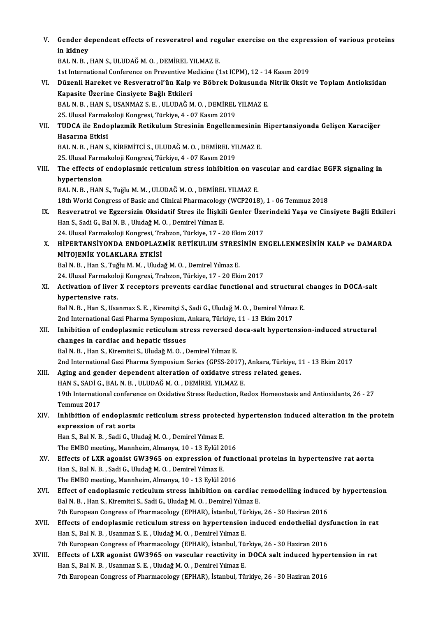| V.     | Gender dependent effects of resveratrol and regular exercise on the expression of various proteins<br>in kidney                                                     |
|--------|---------------------------------------------------------------------------------------------------------------------------------------------------------------------|
|        | BAL N. B., HAN S., ULUDAĞ M. O., DEMİREL YILMAZ E.                                                                                                                  |
|        | 1st International Conference on Preventive Medicine (1st ICPM), 12 - 14 Kasım 2019                                                                                  |
| VI.    | Düzenli Hareket ve Resveratrol'ün Kalp ve Böbrek Dokusunda Nitrik Oksit ve Toplam Antioksidan                                                                       |
|        | Kapasite Üzerine Cinsiyete Bağlı Etkileri                                                                                                                           |
|        | BAL N. B., HAN S., USANMAZ S. E., ULUDAĞ M. O., DEMİREL YILMAZ E.                                                                                                   |
|        | 25. Ulusal Farmakoloji Kongresi, Türkiye, 4 - 07 Kasım 2019                                                                                                         |
| VII.   | TUDCA ile Endoplazmik Retikulum Stresinin Engellenmesinin Hipertansiyonda Gelişen Karaciğer                                                                         |
|        | Hasarına Etkisi                                                                                                                                                     |
|        | BAL N. B., HAN S., KİREMİTCİ S., ULUDAĞ M. O., DEMİREL YILMAZ E.                                                                                                    |
|        | 25. Ulusal Farmakoloji Kongresi, Türkiye, 4 - 07 Kasım 2019                                                                                                         |
| VIII.  | The effects of endoplasmic reticulum stress inhibition on vascular and cardiac EGFR signaling in                                                                    |
|        | hypertension                                                                                                                                                        |
|        | BAL N. B., HAN S., Tuğlu M. M., ULUDAĞ M. O., DEMİREL YILMAZ E.                                                                                                     |
|        | 18th World Congress of Basic and Clinical Pharmacology (WCP2018), 1 - 06 Temmuz 2018                                                                                |
| IX.    | Resveratrol ve Egzersizin Oksidatif Stres ile İlişkili Genler Üzerindeki Yaşa ve Cinsiyete Bağli Etkileri                                                           |
|        | Han S., Sadi G., Bal N. B., Uludağ M. O., Demirel Yılmaz E.                                                                                                         |
|        | 24. Ulusal Farmakoloji Kongresi, Trabzon, Türkiye, 17 - 20 Ekim 2017                                                                                                |
| Х.     | HIPERTANSIYONDA ENDOPLAZMIK RETIKULUM STRESININ ENGELLENMESININ KALP ve DAMARDA                                                                                     |
|        | MİTOJENİK YOLAKLARA ETKİSİ                                                                                                                                          |
|        | Bal N. B., Han S., Tuğlu M. M., Uludağ M. O., Demirel Yılmaz E.                                                                                                     |
|        | 24. Ulusal Farmakoloji Kongresi, Trabzon, Türkiye, 17 - 20 Ekim 2017                                                                                                |
| XI.    | Activation of liver X receptors prevents cardiac functional and structural changes in DOCA-salt                                                                     |
|        | hypertensive rats.                                                                                                                                                  |
|        | Bal N. B., Han S., Usanmaz S. E., Kiremitçi S., Sadi G., Uludağ M. O., Demirel Yılmaz E.                                                                            |
|        | 2nd International Gazi Pharma Symposium, Ankara, Türkiye, 11 - 13 Ekim 2017                                                                                         |
| XII.   | Inhibition of endoplasmic reticulum stress reversed doca-salt hypertension-induced structural                                                                       |
|        | changes in cardiac and hepatic tissues                                                                                                                              |
|        | Bal N. B., Han S., Kiremitci S., Uludağ M. O., Demirel Yılmaz E.                                                                                                    |
|        | 2nd International Gazi Pharma Symposium Series (GPSS-2017), Ankara, Türkiye, 11 - 13 Ekim 2017                                                                      |
| XIII.  | Aging and gender dependent alteration of oxidatve stress related genes.                                                                                             |
|        | HAN S., SADİ G., BAL N. B., ULUDAĞ M. O., DEMİREL YILMAZ E.                                                                                                         |
|        | 19th International conference on Oxidative Stress Reduction, Redox Homeostasis and Antioxidants, 26 - 27                                                            |
|        | Temmuz 2017                                                                                                                                                         |
| XIV.   | Inhibition of endoplasmic reticulum stress protected hypertension induced alteration in the protein                                                                 |
|        | expression of rat aorta                                                                                                                                             |
|        | Han S., Bal N. B., Sadi G., Uludağ M. O., Demirel Yılmaz E.                                                                                                         |
|        | The EMBO meeting., Mannheim, Almanya, 10 - 13 Eylül 2016                                                                                                            |
| XV.    | Effects of LXR agonist GW3965 on expression of functional proteins in hypertensive rat aorta                                                                        |
|        | Han S., Bal N. B., Sadi G., Uludağ M. O., Demirel Yılmaz E.                                                                                                         |
|        | The EMBO meeting, Mannheim, Almanya, 10 - 13 Eylül 2016                                                                                                             |
| XVI.   | Effect of endoplasmic reticulum stress inhibition on cardiac remodelling induced by hypertension                                                                    |
|        | Bal N. B., Han S., Kiremitci S., Sadi G., Uludağ M. O., Demirel Yılmaz E.                                                                                           |
|        | 7th European Congress of Pharmacology (EPHAR), İstanbul, Türkiye, 26 - 30 Haziran 2016                                                                              |
| XVII.  | Effects of endoplasmic reticulum stress on hypertension induced endothelial dysfunction in rat<br>Han S., Bal N. B., Usanmaz S. E., Uludağ M. O., Demirel Yılmaz E. |
|        | 7th European Congress of Pharmacology (EPHAR), İstanbul, Türkiye, 26 - 30 Haziran 2016                                                                              |
| XVIII. | Effects of LXR agonist GW3965 on vascular reactivity in DOCA salt induced hypertension in rat                                                                       |
|        | Han S., Bal N. B., Usanmaz S. E., Uludağ M. O., Demirel Yılmaz E.                                                                                                   |
|        | 7th European Congress of Pharmacology (EPHAR), İstanbul, Türkiye, 26 - 30 Haziran 2016                                                                              |
|        |                                                                                                                                                                     |